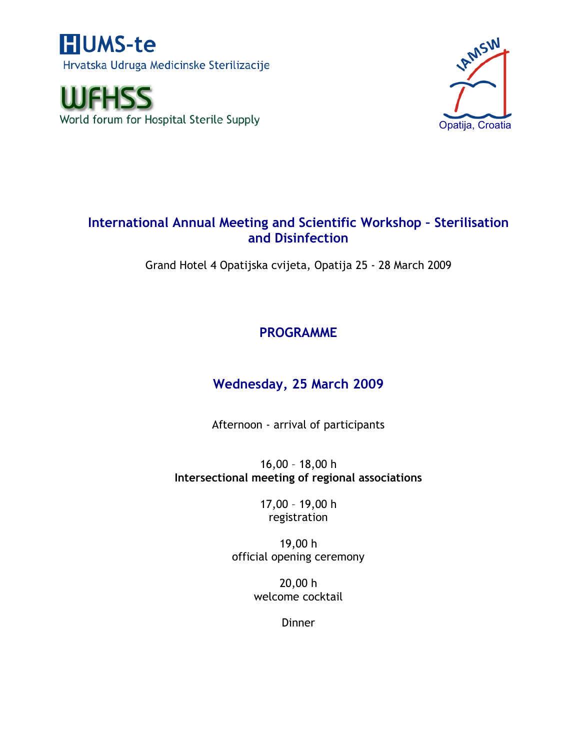**HUMS-te** Hrvatska Udruga Medicinske Sterilizacije

World forum for Hospital Sterile Supply



## **International Annual Meeting and Scientific Workshop – Sterilisation and Disinfection**

Grand Hotel 4 Opatijska cvijeta, Opatija 25 - 28 March 2009

# **PROGRAMME**

# **Wednesday, 25 March 2009**

Afternoon - arrival of participants

16,00 – 18,00 h **Intersectional meeting of regional associations**

> 17,00 – 19,00 h registration

19,00 h official opening ceremony

> 20,00 h welcome cocktail

> > Dinner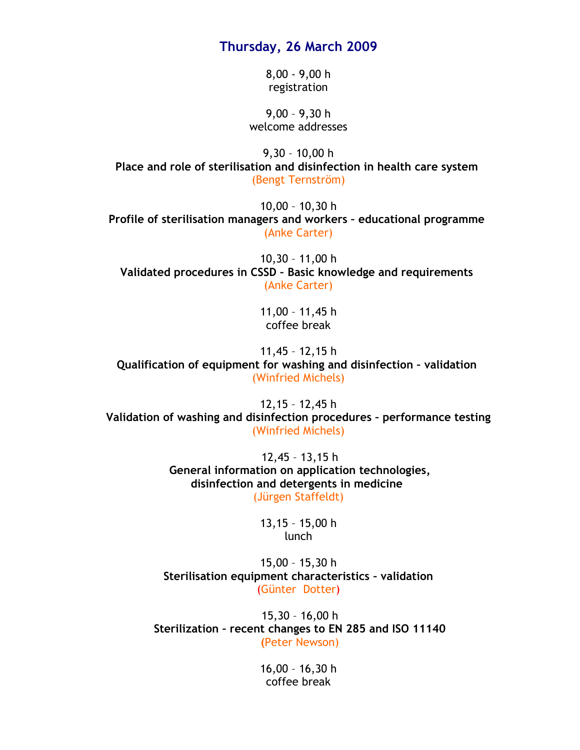## **Thursday, 26 March 2009**

8,00 - 9,00 h registration

9,00 – 9,30 h welcome addresses

9,30 – 10,00 h **Place and role of sterilisation and disinfection in health care system**  (Bengt Ternström)

10,00 – 10,30 h **Profile of sterilisation managers and workers – educational programme**  (Anke Carter)

10,30 – 11,00 h **Validated procedures in CSSD – Basic knowledge and requirements**  (Anke Carter)

> 11,00 – 11,45 h coffee break

11,45 – 12,15 h **Qualification of equipment for washing and disinfection – validation**  (Winfried Michels)

12,15 – 12,45 h **Validation of washing and disinfection procedures – performance testing** (Winfried Michels)

> 12,45 – 13,15 h **General information on application technologies, disinfection and detergents in medicine**  (Jürgen Staffeldt)

> > 13,15 – 15,00 h lunch

15,00 – 15,30 h **Sterilisation equipment characteristics – validation** (Günter Dotter)

15,30 – 16,00 h **Sterilization – recent changes to EN 285 and ISO 11140 (**Peter Newson)

> 16,00 – 16,30 h coffee break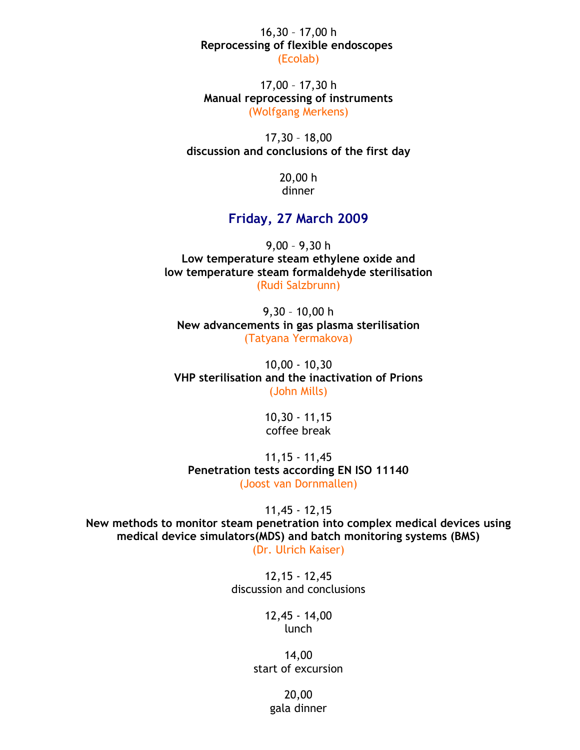16,30 – 17,00 h **Reprocessing of flexible endoscopes** (Ecolab)

17,00 – 17,30 h **Manual reprocessing of instruments** (Wolfgang Merkens)

17,30 – 18,00 **discussion and conclusions of the first day**

> 20,00 h dinner

#### **Friday, 27 March 2009**

9,00 – 9,30 h **Low temperature steam ethylene oxide and low temperature steam formaldehyde sterilisation** (Rudi Salzbrunn)

9,30 – 10,00 h **New advancements in gas plasma sterilisation** (Tatyana Yermakova)

10,00 - 10,30 **VHP sterilisation and the inactivation of Prions** (John Mills)

> 10,30 - 11,15 coffee break

11,15 - 11,45 **Penetration tests according EN ISO 11140** (Joost van Dornmallen)

11,45 - 12,15 **New methods to monitor steam penetration into complex medical devices using medical device simulators(MDS) and batch monitoring systems (BMS)** (Dr. Ulrich Kaiser)

> 12,15 - 12,45 discussion and conclusions

> > 12,45 - 14,00 lunch

14,00 start of excursion

> 20,00 gala dinner